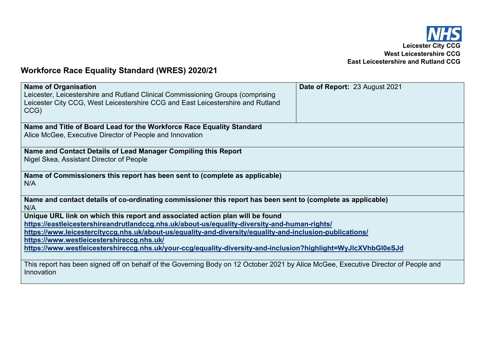

## **Workforce Race Equality Standard (WRES) 2020/21**

| <b>Name of Organisation</b>                                                                                                         | Date of Report: 23 August 2021 |
|-------------------------------------------------------------------------------------------------------------------------------------|--------------------------------|
| Leicester, Leicestershire and Rutland Clinical Commissioning Groups (comprising                                                     |                                |
| Leicester City CCG, West Leicestershire CCG and East Leicestershire and Rutland                                                     |                                |
| CCG)                                                                                                                                |                                |
|                                                                                                                                     |                                |
| Name and Title of Board Lead for the Workforce Race Equality Standard                                                               |                                |
| Alice McGee, Executive Director of People and Innovation                                                                            |                                |
|                                                                                                                                     |                                |
| Name and Contact Details of Lead Manager Compiling this Report                                                                      |                                |
| Nigel Skea, Assistant Director of People                                                                                            |                                |
|                                                                                                                                     |                                |
| Name of Commissioners this report has been sent to (complete as applicable)                                                         |                                |
| N/A                                                                                                                                 |                                |
|                                                                                                                                     |                                |
| Name and contact details of co-ordinating commissioner this report has been sent to (complete as applicable)                        |                                |
| N/A                                                                                                                                 |                                |
| Unique URL link on which this report and associated action plan will be found                                                       |                                |
| https://eastleicestershireandrutlandccg.nhs.uk/about-us/equality-diversity-and-human-rights/                                        |                                |
| https://www.leicestercityccg.nhs.uk/about-us/equality-and-diversity/equality-and-inclusion-publications/                            |                                |
| https://www.westleicestershireccg.nhs.uk/                                                                                           |                                |
| https://www.westleicestershireccg.nhs.uk/your-ccg/equality-diversity-and-inclusion?highlight=WyJlcXVhbGl0eSJd                       |                                |
|                                                                                                                                     |                                |
| This report has been signed off on behalf of the Governing Body on 12 October 2021 by Alice McGee, Executive Director of People and |                                |
| Innovation                                                                                                                          |                                |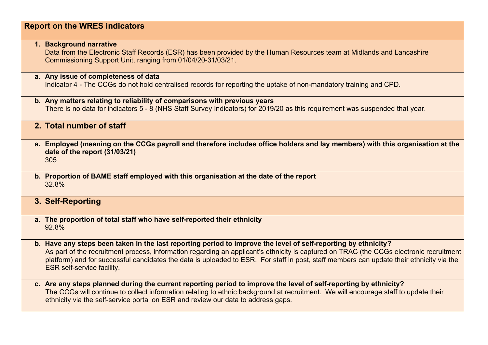## **Report on the WRES indicators**

**1. Background narrative** 

Data from the Electronic Staff Records (ESR) has been provided by the Human Resources team at Midlands and Lancashire Commissioning Support Unit, ranging from 01/04/20-31/03/21.

## **a. Any issue of completeness of data**  Indicator 4 - The CCGs do not hold centralised records for reporting the uptake of non-mandatory training and CPD.

- **b. Any matters relating to reliability of comparisons with previous years**  There is no data for indicators 5 - 8 (NHS Staff Survey Indicators) for 2019/20 as this requirement was suspended that year.
- **2. Total number of staff**
- **a. Employed (meaning on the CCGs payroll and therefore includes office holders and lay members) with this organisation at the date of the report (31/03/21)** 305
- **b. Proportion of BAME staff employed with this organisation at the date of the report** 32.8%
- **3. Self-Reporting**
- **a. The proportion of total staff who have self-reported their ethnicity** 92.8%
- **b. Have any steps been taken in the last reporting period to improve the level of self-reporting by ethnicity?** As part of the recruitment process, information regarding an applicant's ethnicity is captured on TRAC (the CCGs electronic recruitment platform) and for successful candidates the data is uploaded to ESR. For staff in post, staff members can update their ethnicity via the ESR self-service facility.
- **c. Are any steps planned during the current reporting period to improve the level of self-reporting by ethnicity?**  The CCGs will continue to collect information relating to ethnic background at recruitment. We will encourage staff to update their ethnicity via the self-service portal on ESR and review our data to address gaps.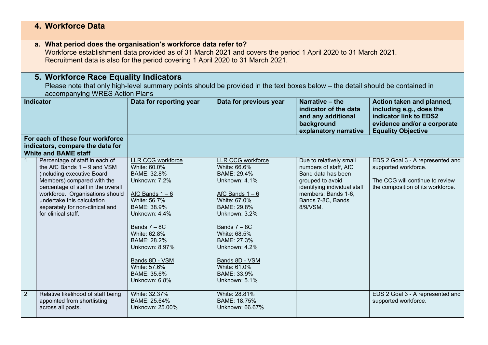|                | 4. Workforce Data                                                                                                                                                                                                                                                                            |                                                                                                                                                                                                                                                                             |                                                                                                                                                                                                                                                                                   |                                                                                                                                                                                    |                                                                                                                                             |
|----------------|----------------------------------------------------------------------------------------------------------------------------------------------------------------------------------------------------------------------------------------------------------------------------------------------|-----------------------------------------------------------------------------------------------------------------------------------------------------------------------------------------------------------------------------------------------------------------------------|-----------------------------------------------------------------------------------------------------------------------------------------------------------------------------------------------------------------------------------------------------------------------------------|------------------------------------------------------------------------------------------------------------------------------------------------------------------------------------|---------------------------------------------------------------------------------------------------------------------------------------------|
|                | a. What period does the organisation's workforce data refer to?<br>Workforce establishment data provided as of 31 March 2021 and covers the period 1 April 2020 to 31 March 2021.<br>Recruitment data is also for the period covering 1 April 2020 to 31 March 2021.                         |                                                                                                                                                                                                                                                                             |                                                                                                                                                                                                                                                                                   |                                                                                                                                                                                    |                                                                                                                                             |
|                | 5. Workforce Race Equality Indicators<br>Please note that only high-level summary points should be provided in the text boxes below – the detail should be contained in<br>accompanying WRES Action Plans                                                                                    |                                                                                                                                                                                                                                                                             |                                                                                                                                                                                                                                                                                   |                                                                                                                                                                                    |                                                                                                                                             |
|                | <b>Indicator</b>                                                                                                                                                                                                                                                                             | Data for reporting year                                                                                                                                                                                                                                                     | Data for previous year                                                                                                                                                                                                                                                            | Narrative - the<br>indicator of the data<br>and any additional<br>background<br>explanatory narrative                                                                              | Action taken and planned,<br>including e.g., does the<br>indicator link to EDS2<br>evidence and/or a corporate<br><b>Equality Objective</b> |
|                | For each of these four workforce<br>indicators, compare the data for<br><b>White and BAME staff</b>                                                                                                                                                                                          |                                                                                                                                                                                                                                                                             |                                                                                                                                                                                                                                                                                   |                                                                                                                                                                                    |                                                                                                                                             |
| $\mathbf{1}$   | Percentage of staff in each of<br>the AfC Bands $1 - 9$ and VSM<br>(including executive Board<br>Members) compared with the<br>percentage of staff in the overall<br>workforce. Organisations should<br>undertake this calculation<br>separately for non-clinical and<br>for clinical staff. | LLR CCG workforce<br>White: 60.0%<br>BAME: 32.8%<br>Unknown: 7.2%<br>AfC Bands $1 - 6$<br>White: 56.7%<br>BAME: 38.9%<br>Unknown: 4.4%<br>Bands $7 - 8C$<br>White: 62.8%<br>BAME: 28.2%<br>Unknown: 8.97%<br>Bands 8D - VSM<br>White: 57.6%<br>BAME: 35.6%<br>Unknown: 6.8% | <b>LLR CCG workforce</b><br>White: 66.6%<br>BAME: 29.4%<br>Unknown: 4.1%<br>AfC Bands $1 - 6$<br>White: 67.0%<br>BAME: 29.8%<br>Unknown: 3.2%<br>Bands $7 - 8C$<br>White: 68.5%<br>BAME: 27.3%<br>Unknown: 4.2%<br>Bands 8D - VSM<br>White: 61.0%<br>BAME: 33.9%<br>Unknown: 5.1% | Due to relatively small<br>numbers of staff, AfC<br>Band data has been<br>grouped to avoid<br>identifying individual staff<br>members: Bands 1-6,<br>Bands 7-8C, Bands<br>8/9/VSM. | EDS 2 Goal 3 - A represented and<br>supported workforce.<br>The CCG will continue to review<br>the composition of its workforce.            |
| $\overline{2}$ | Relative likelihood of staff being<br>appointed from shortlisting<br>across all posts.                                                                                                                                                                                                       | White: 32.37%<br>BAME: 25.64%<br>Unknown: 25.00%                                                                                                                                                                                                                            | White: 28.81%<br>BAME: 18.75%<br>Unknown: 66.67%                                                                                                                                                                                                                                  |                                                                                                                                                                                    | EDS 2 Goal 3 - A represented and<br>supported workforce.                                                                                    |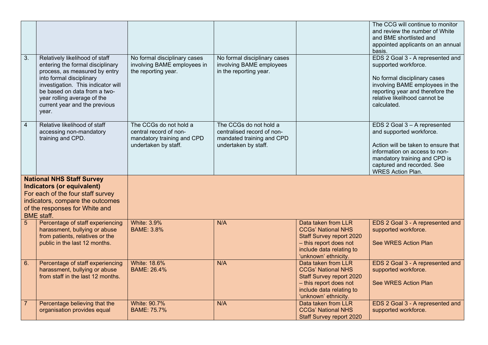|                |                                                                                                                                                                                                                                                                                |                                                                                                        |                                                                                                           |                                                                                                                                                                   | The CCG will continue to monitor<br>and review the number of White<br>and BME shortlisted and<br>appointed applicants on an annual<br>basis.                                                                                |
|----------------|--------------------------------------------------------------------------------------------------------------------------------------------------------------------------------------------------------------------------------------------------------------------------------|--------------------------------------------------------------------------------------------------------|-----------------------------------------------------------------------------------------------------------|-------------------------------------------------------------------------------------------------------------------------------------------------------------------|-----------------------------------------------------------------------------------------------------------------------------------------------------------------------------------------------------------------------------|
| 3.             | Relatively likelihood of staff<br>entering the formal disciplinary<br>process, as measured by entry<br>into formal disciplinary<br>investigation. This indicator will<br>be based on data from a two-<br>year rolling average of the<br>current year and the previous<br>year. | No formal disciplinary cases<br>involving BAME employees in<br>the reporting year.                     | No formal disciplinary cases<br>involving BAME employees<br>in the reporting year.                        |                                                                                                                                                                   | EDS 2 Goal 3 - A represented and<br>supported workforce.<br>No formal disciplinary cases<br>involving BAME employees in the<br>reporting year and therefore the<br>relative likelihood cannot be<br>calculated.             |
| $\overline{4}$ | Relative likelihood of staff<br>accessing non-mandatory<br>training and CPD.                                                                                                                                                                                                   | The CCGs do not hold a<br>central record of non-<br>mandatory training and CPD<br>undertaken by staff. | The CCGs do not hold a<br>centralised record of non-<br>mandated training and CPD<br>undertaken by staff. |                                                                                                                                                                   | EDS 2 Goal 3 - A represented<br>and supported workforce.<br>Action will be taken to ensure that<br>information on access to non-<br>mandatory training and CPD is<br>captured and recorded. See<br><b>WRES Action Plan.</b> |
|                | <b>National NHS Staff Survey</b><br><b>Indicators (or equivalent)</b><br>For each of the four staff survey<br>indicators, compare the outcomes<br>of the responses for White and<br><b>BME</b> staff.                                                                          |                                                                                                        |                                                                                                           |                                                                                                                                                                   |                                                                                                                                                                                                                             |
| 5              | Percentage of staff experiencing<br>harassment, bullying or abuse<br>from patients, relatives or the<br>public in the last 12 months.                                                                                                                                          | <b>White: 3.9%</b><br><b>BAME: 3.8%</b>                                                                | N/A                                                                                                       | Data taken from LLR<br><b>CCGs' National NHS</b><br><b>Staff Survey report 2020</b><br>- this report does not<br>include data relating to<br>'unknown' ethnicity. | EDS 2 Goal 3 - A represented and<br>supported workforce.<br>See WRES Action Plan                                                                                                                                            |
| 6.             | Percentage of staff experiencing<br>harassment, bullying or abuse<br>from staff in the last 12 months.                                                                                                                                                                         | <b>White: 18.6%</b><br>BAME: 26.4%                                                                     | N/A                                                                                                       | Data taken from LLR<br><b>CCGs' National NHS</b><br><b>Staff Survey report 2020</b><br>- this report does not<br>include data relating to<br>'unknown' ethnicity. | EDS 2 Goal 3 - A represented and<br>supported workforce.<br>See WRES Action Plan                                                                                                                                            |
| $\overline{7}$ | Percentage believing that the<br>organisation provides equal                                                                                                                                                                                                                   | <b>White: 90.7%</b><br><b>BAME: 75.7%</b>                                                              | N/A                                                                                                       | Data taken from LLR<br><b>CCGs' National NHS</b><br><b>Staff Survey report 2020</b>                                                                               | EDS 2 Goal 3 - A represented and<br>supported workforce.                                                                                                                                                                    |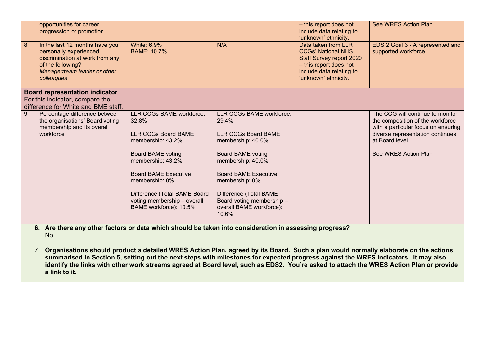| $\overline{8}$                                                                                                | opportunities for career<br>progression or promotion.<br>In the last 12 months have you<br>personally experienced<br>discrimination at work from any<br>of the following?<br>Manager/team leader or other<br>colleagues | <b>White: 6.9%</b><br><b>BAME: 10.7%</b>                                                                                                                                                                                                                                               | N/A                                                                                                                                                                                                                                                                                       | - this report does not<br>include data relating to<br>'unknown' ethnicity.<br>Data taken from LLR<br><b>CCGs' National NHS</b><br><b>Staff Survey report 2020</b><br>- this report does not<br>include data relating to<br>'unknown' ethnicity. | See WRES Action Plan<br>EDS 2 Goal 3 - A represented and<br>supported workforce.                                                                                                           |
|---------------------------------------------------------------------------------------------------------------|-------------------------------------------------------------------------------------------------------------------------------------------------------------------------------------------------------------------------|----------------------------------------------------------------------------------------------------------------------------------------------------------------------------------------------------------------------------------------------------------------------------------------|-------------------------------------------------------------------------------------------------------------------------------------------------------------------------------------------------------------------------------------------------------------------------------------------|-------------------------------------------------------------------------------------------------------------------------------------------------------------------------------------------------------------------------------------------------|--------------------------------------------------------------------------------------------------------------------------------------------------------------------------------------------|
|                                                                                                               | <b>Board representation indicator</b><br>For this indicator, compare the<br>difference for White and BME staff.                                                                                                         |                                                                                                                                                                                                                                                                                        |                                                                                                                                                                                                                                                                                           |                                                                                                                                                                                                                                                 |                                                                                                                                                                                            |
| 9                                                                                                             | Percentage difference between<br>the organisations' Board voting<br>membership and its overall<br>workforce                                                                                                             | <b>LLR CCGs BAME workforce:</b><br>32.8%<br><b>LLR CCGs Board BAME</b><br>membership: 43.2%<br><b>Board BAME voting</b><br>membership: 43.2%<br><b>Board BAME Executive</b><br>membership: 0%<br>Difference (Total BAME Board<br>voting membership - overall<br>BAME workforce): 10.5% | <b>LLR CCGs BAME workforce:</b><br>29.4%<br><b>LLR CCGs Board BAME</b><br>membership: 40.0%<br><b>Board BAME voting</b><br>membership: 40.0%<br><b>Board BAME Executive</b><br>membership: 0%<br>Difference (Total BAME<br>Board voting membership -<br>overall BAME workforce):<br>10.6% |                                                                                                                                                                                                                                                 | The CCG will continue to monitor<br>the composition of the workforce<br>with a particular focus on ensuring<br>diverse representation continues<br>at Board level.<br>See WRES Action Plan |
| 6. Are there any other factors or data which should be taken into consideration in assessing progress?<br>No. |                                                                                                                                                                                                                         |                                                                                                                                                                                                                                                                                        |                                                                                                                                                                                                                                                                                           |                                                                                                                                                                                                                                                 |                                                                                                                                                                                            |
|                                                                                                               | 7.                                                                                                                                                                                                                      | Organisations should product a detailed WRES Action Plan, agreed by its Board. Such a plan would normally elaborate on the actions<br>summarised in Section 5, setting out the next steps with milestones for expected progress against the WRES indicators. It may also               |                                                                                                                                                                                                                                                                                           |                                                                                                                                                                                                                                                 | identify the links with other work streams agreed at Board level, such as EDS2. You're asked to attach the WRES Action Plan or provide                                                     |

**a link to it.**